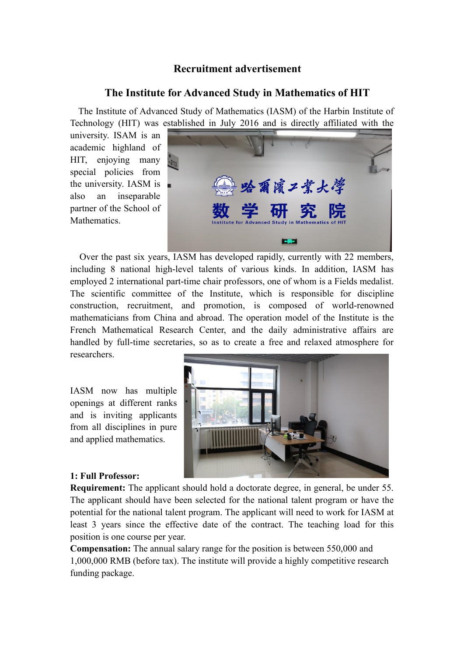# **Recruitment advertisement**

## **The Institute for Advanced Study in Mathematics of HIT**

The Institute of Advanced Study of Mathematics (IASM) of the Harbin Institute of Technology (HIT) was established in July 2016 and is directly affiliated with the

university. ISAM is an academic highland of HIT, enjoying many special policies from the university. IASM is also an inseparable partner of the School of Mathematics.



 Over the past six years, IASM has developed rapidly, currently with 22 members, including 8 national high-level talents of various kinds. In addition, IASM has employed 2 international part-time chair professors, one of whom is a Fields medalist. The scientific committee of the Institute, which is responsible for discipline construction, recruitment, and promotion, is composed of world-renowned mathematicians from China and abroad. The operation model of the Institute is the French Mathematical Research Center, and the daily administrative affairs are handled by full-time secretaries, so as to create a free and relaxed atmosphere for researchers.

IASM now has multiple openings at different ranks and is inviting applicants from all disciplines in pure and applied mathematics.



#### **1: Full Professor:**

**Requirement:** The applicant should hold a doctorate degree, in general, be under 55. The applicant should have been selected for the national talent program or have the potential for the national talent program. The applicant will need to work for IASM at least 3 years since the effective date of the contract. The teaching load for this position is one course per year.

**Compensation:** The annual salary range for the position is between 550,000 and 1,000,000 RMB (before tax). The institute will provide a highly competitive research funding package.